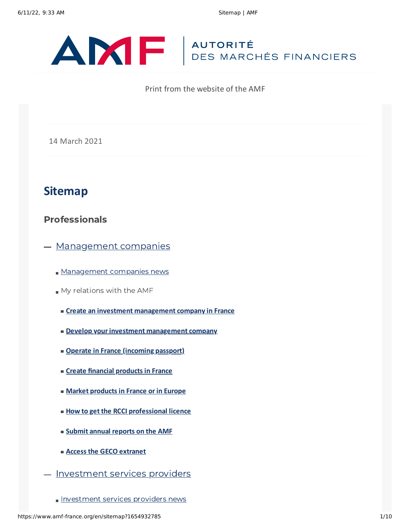

Print from the website of the AMF

#### 14 March 2021

# **Sitemap**

### Professionals

- [Management](https://www.amf-france.org/en/professionals/management-companies) companies
	- [Management](https://www.amf-france.org/en/espace-professionnels/societes-de-gestion/mes-actualites/sgp) companies news
	- My relations with the AMF
		- **Create an investment [management](https://www.amf-france.org/en/professionals/management-companies/my-relations-amf/create-investment-management-company-france) company in France**
		- **Develop your investment [management](https://www.amf-france.org/en/professionals/management-companies/my-relations-amf/develop-your-investment-management-company) company**
		- **Operate in France [\(incoming](https://www.amf-france.org/en/professionals/management-companies/my-relations-amf/operate-france-incoming-passport) passport)**
		- **Create financial [products](https://www.amf-france.org/en/professionals/management-companies/my-relations-amf/create-financial-products-france) in France**
		- **Market [products](https://www.amf-france.org/en/professionals/management-companies/my-relations-amf/market-products-france-or-europe) in France or in Europe**
		- **How to get the RCCI [professional](https://www.amf-france.org/en/professionals/management-companies/my-relations-amf/how-get-rcci-professional-licence) licence**
		- **Submit annual [reports](https://www.amf-france.org/en/professionals/management-companies/my-relations-amf/submit-annual-reports-amf) on the AMF**
		- **Access the GECO [extranet](https://www.amf-france.org/en/professionals/management-companies/my-relations-amf/access-geco-extranet)**
- [Investment](https://www.amf-france.org/en/professionals/investment-services-providers) services providers
	- **[Investment](https://www.amf-france.org/en/listing_acteur/PSI) services providers news**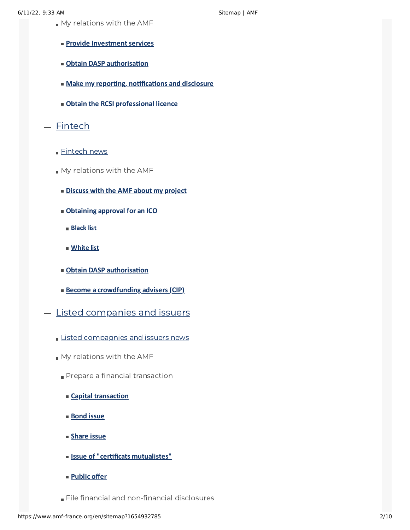- My relations with the AMF
	- **Provide Investment services**
	- **Obtain DASP [authorisation](https://www.amf-france.org/en/professionals/investment-services-providers/my-relations-amf/obtain-dasp-authorisation)**
	- **Make my reporting, [notifications](https://www.amf-france.org/en/professionals/investment-services-providers/my-relations-amf/make-my-reporting-notifications-and-disclosure) and disclosure**
	- **Obtain the RCSI [professional](https://www.amf-france.org/en/professionals/investment-services-providers/my-relations-amf/obtain-rcsi-professional-licence) licence**
- [Fintech](https://www.amf-france.org/en/professionals/fintech)
	- [Fintech](https://www.amf-france.org/en/listing_acteur/fintech) news
	- My relations with the AMF
		- **[Discuss](https://www.amf-france.org/en/professionals/fintech/my-relations-amf/discuss-amf-about-my-project) with the AMF about my project**
		- **[Obtaining](https://www.amf-france.org/en/professionals/fintech/my-relations-amf/obtaining-approval-ico) approval for an ICO**
			- **[Black](https://www.amf-france.org/en/professionals/fintech/my-relations-amf/obtaining-approval-ico/black-list) list**
			- **[White](https://www.amf-france.org/en/professionals/fintech/my-relations-amf/obtaining-approval-ico/white-list) list**
		- **Obtain DASP [authorisation](https://www.amf-france.org/en/professionals/investment-services-providers/my-relations-amf/obtain-dasp-authorisation)**
		- **Become a [crowdfunding](https://www.amf-france.org/en/professionals/fintech/my-relations-amf/become-crowdfunding-advisers-cip) advisers (CIP)**
- **Listed [companies](https://www.amf-france.org/en/professionals/listed-companies-issuers) and issuers** 
	- **Listed [compagnies](https://www.amf-france.org/en/listing_acteur/societes-cotees-et-emetteurs) and issuers news**
	- My relations with the AMF
		- Prepare a financial transaction
			- **Capital [transaction](https://www.amf-france.org/en/professionals/listed-companies-issuers/my-relations-amf/prepare-financial-transaction/capital-transaction)**
			- **[Bond](https://www.amf-france.org/en/professionals/listed-companies-issuers/my-relations-amf/prepare-financial-transaction/bond-issue) issue**
			- **[Share](https://www.amf-france.org/en/professionals/listed-companies-issuers/my-relations-amf/prepare-financial-transaction/share-issue) issue**
			- **Issue of "certificats [mutualistes"](https://www.amf-france.org/en/professionals/listed-companies-issuers/my-relations-amf/prepare-financial-transaction/issue-certificats-mutualistes)**
			- **[Public](https://www.amf-france.org/en/professionals/listed-companies-issuers/my-relations-amf/prepare-financial-transaction/public-offer) offer**
		- File financial and non-financial disclosures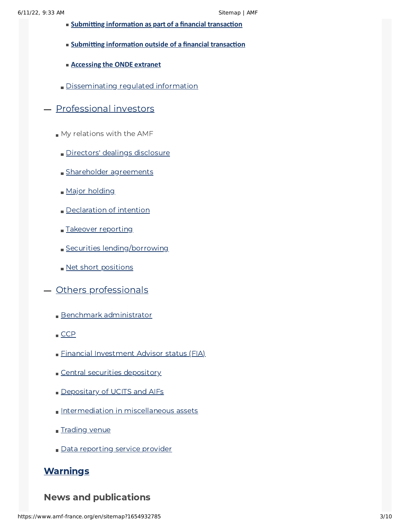- **Submitting [information](https://si-bo.amf-france.org/fr/espace-professionnels/societes-cotees-et-emetteurs/mes-relations-avec-lamf/deposer-de-linformation-financiere-et-extra-financiere/lors-dune-operation) as part of a financial transaction**
- **Submitting [information](https://si-bo.amf-france.org/fr/espace-professionnels/societes-cotees-et-emetteurs/mes-relations-avec-lamf/deposer-de-linformation-financiere-et-extra-financiere/en-dehors-dune-operation) outside of a financial transaction**
- **[Accessing](https://si-bo.amf-france.org/fr/espace-professionnels/societes-cotees-et-emetteurs/mes-relations-avec-lamf/deposer-de-linformation-financiere-et-extra-financiere/acceder-lextranet-onde) the ONDE extranet**
- [Disseminating](https://www.amf-france.org/en/professionals/listed-companies-issuers/my-relations-amf/disseminating-regulated-information) regulated information
- [Professional](https://www.amf-france.org/en/professionals/professional-investor) investors
	- My relations with the AMF
		- Directors' dealings [disclosure](https://www.amf-france.org/en/professionals/professional-investor/my-relations-amf/directors-dealings-disclosure)
		- **Shareholder [agreements](https://www.amf-france.org/en/professionals/professional-investor/my-relations-amf/shareholder-agreements)**
		- Major [holding](https://www.amf-france.org/en/professionals/professional-investor/my-relations-amf/major-holding)
		- [Declaration](https://www.amf-france.org/en/professionals/professional-investor/my-relations-amf/declaration-intention) of intention
		- Takeover [reporting](https://www.amf-france.org/en/professionals/professional-investor/my-relations-amf/takeover-reporting)
		- **Securities [lending/borrowing](https://www.amf-france.org/en/professionals/professional-investor/my-relations-amf/securities-lendingborrowing)**
		- Net short [positions](https://www.amf-france.org/en/professionals/professional-investor/my-relations-amf/net-short-positions)
- Others [professionals](https://www.amf-france.org/en/professionals/other-professionals)
	- Benchmark [administrator](https://www.amf-france.org/en/professionals/other-professionals/benchmark-administrator)
	- $CCP$
	- **Financial [Investment](https://www.amf-france.org/en/professionals/others-professionals/financial-investment-advisor-status-fia) Advisor status (FIA)**
	- Central securities [depository](https://www.amf-france.org/en/professionals/others-professionals/central-securities-depository)
	- [Depositary](https://www.amf-france.org/en/professionals/others-professionals/depositary-ucits-and-aifs) of UCITS and AIFs
	- [Intermediation](https://www.amf-france.org/en/professionals/others-professionals/intermediation-miscellaneous-assets) in miscellaneous assets
	- [Trading](https://www.amf-france.org/en/professionals/others-professionals/trading-venue) venue
	- Data [reporting](https://www.amf-france.org/en/professionals/others-professionals/data-reporting-service-provider) service provider

# **[Warnings](https://www.amf-france.org/en/warnings)**

### News and publications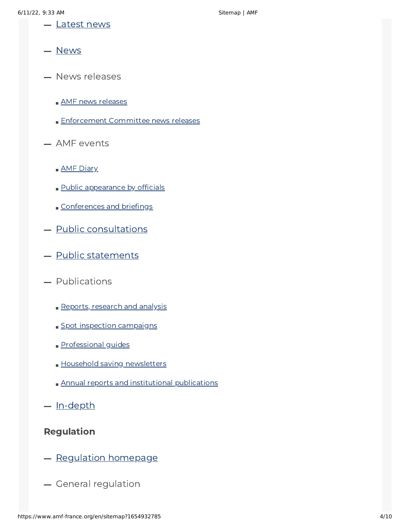- **-** [Latest](https://www.amf-france.org/en/news-publications/latest-news) news
- [News](https://www.amf-france.org/en/news-publications/news)
- News releases
	- **AMF** news [releases](https://www.amf-france.org/en/news-publications/news-releases/amf-news-releases)
	- **[Enforcement](https://www.amf-france.org/en/news-publications/news-releases/enforcement-committee-news-releases) Committee news releases**
- $-$  AMF events
	- **AMF [Diary](https://www.amf-france.org/en/news-publications/amf-events/amf-diary)**
	- **Public [appearance](https://www.amf-france.org/en/news-publications/amf-events/public-appearances-officials) by officials**
	- [Conferences](https://www.amf-france.org/en/news-publications/amf-events/conferences-briefings) and briefings
- Public [consultations](https://www.amf-france.org/en/news-publications/public-consultations)
- Public [statements](https://www.amf-france.org/en/news-publications/public-statements)
- Publications
	- Reports, [research](https://www.amf-france.org/en/news-publications/publications/reports-research-and-analysis) and analysis
	- Spot inspection [campaigns](https://www.amf-france.org/en/news-publications/publications/spot-inspection-campaigns)
	- **[Professional](https://www.amf-france.org/en/news-publications/publications/professional-guides) guides**
	- **Household saving [newsletters](https://www.amf-france.org/en/news-publications/publications/household-savings-newsletters)**
	- **Annual reports and institutional [publications](https://www.amf-france.org/en/news-publications/publications/annual-reports-and-institutional-publications)**
- [In-depth](https://www.amf-france.org/en/news-publications/depth)

# Regulation

- Regulation [homepage](https://www.amf-france.org/en/regulation/regulation-homepage)
- General regulation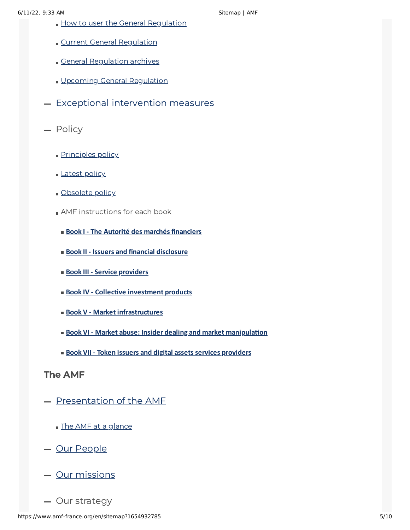- **How to user the General [Regulation](https://www.amf-france.org/en/regulation/general-regulation/general-regulation-user-guide)**
- Current General [Regulation](https://www.amf-france.org/en/eli/fr/aai/amf/rg/notes)
- General [Regulation](https://www.amf-france.org/en/eli/fr/aai/amf/rg/archives) archives
- Upcoming General [Regulation](https://www.amf-france.org/en/eli/fr/aai/amf/rg/a-venir)
- $-$  Exceptional [intervention](https://www.amf-france.org/en/regulation/exceptional-intervention-measures) measures
- Policy
	- [Principles](https://www.amf-france.org/en/regulation/policy/principles-policy) policy
	- [Latest](https://www.amf-france.org/en/regulation/policy/applicable-policy) policy
	- [Obsolete](https://www.amf-france.org/en/regulation/policy/obsolete-policy) policy
	- **AMF** instructions for each book
		- **Book I - The Autorité des marchés [financiers](https://www.amf-france.org/en/regulation/policy/amf-instructions-each-book/book-i-autorite-des-marches-financiers)**
		- **Book II - Issuers and financial [disclosure](https://www.amf-france.org/en/regulation/policy/amf-instructions-each-book/book-ii-issuers-and-financial-disclosure-0)**
		- **Book III - Service [providers](https://www.amf-france.org/en/regulation/policy/amf-instructions-each-book/book-iii-service-providers-0)**
		- **Book IV - Collective [investment](https://www.amf-france.org/en/regulation/policy/amf-instructions-each-book/book-iv-collective-investment-products-0) products**
		- **Book V - Market [infrastructures](https://www.amf-france.org/en/regulation/policy/amf-instructions-each-book/book-v-market-infrastructures-0)**
		- **Book VI - Market abuse: Insider dealing and market [manipulation](https://www.amf-france.org/en/regulation/policy/amf-instructions-each-book/book-vi-market-abuse-insider-dealing-and-market-manipulation-0)**
		- **Book VII - Token issuers and digital assets services [providers](https://www.amf-france.org/en/regulation/policy/amf-instructions-each-book/book-vii-token-issuers-and-digital-assets-services-providers-0)**

### The AMF

- [Presentation](https://www.amf-france.org/en/amf/presentation-amf) of the AMF
	- The AMF at a [glance](https://www.amf-france.org/en/amf/presentation-amf/amf-glance)
- Our [People](https://www.amf-france.org/en/amf/our-people)
- Our [missions](https://www.amf-france.org/en/amf/our-missions)
- Our strategy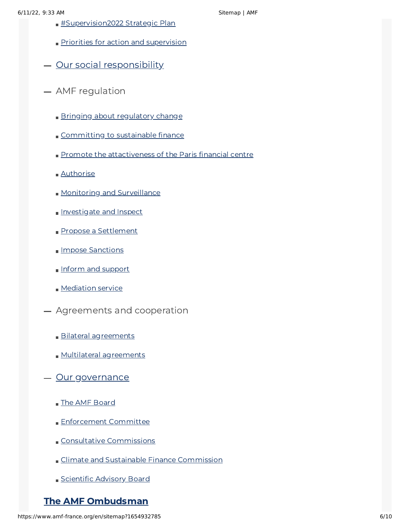- **[#Supervision2022](https://www.amf-france.org/en/amf/our-strategy/supervision2022-strategic-plan) Strategic Plan**
- Priorities for action and [supervision](https://www.amf-france.org/en/amf/our-strategy/priorities-action-and-supervision)
- Our social [responsibility](https://www.amf-france.org/en/amf/our-social-responsibility)
- AMF regulation
	- Bringing about [regulatory](https://www.amf-france.org/en/amf/amf-regulation/bringing-about-regulatory-change) change
	- [Committing](https://www.amf-france.org/en/amf/amf-regulation/committing-sustainable-finance) to sustainable finance
	- Promote the [attactiveness](https://www.amf-france.org/en/amf/amf-regulation/promote-attractiveness-paris-financial-centre) of the Paris financial centre
	- [Authorise](https://www.amf-france.org/en/amf/amf-regulation/authorise)
	- **Monitoring and [Surveillance](https://www.amf-france.org/en/amf/amf-regulation/monitoring-and-surveillance)**
	- **[Investigate](https://www.amf-france.org/en/amf/amf-regulation/investigate-and-inspect) and Inspect**
	- Propose a [Settlement](https://www.amf-france.org/en/amf/amf-regulation/propose-settlement)
	- **Impose [Sanctions](https://www.amf-france.org/en/amf/amf-regulation/impose-sanctions)**
	- Inform and [support](https://www.amf-france.org/en/amf/amf-regulation/inform-and-support)
	- **[Mediation](https://www.amf-france.org/en/amf/amf-regulation/mediation-service) service**
- Agreements and cooperation
	- **Bilateral [agreements](https://www.amf-france.org/en/amf/agreements-and-cooperation/bilateral-agreements)**
	- **Multilateral [agreements](https://www.amf-france.org/en/amf/agreements-and-cooperation/multilateral-agreements)**
- Our [governance](https://www.amf-france.org/en/amf/our-governance)
	- The AMF [Board](https://www.amf-france.org/en/amf/our-governance/amf-board)
	- **[Enforcement](https://www.amf-france.org/en/amf/our-governance/enforcement-committee) Committee**
	- Consultative [Commissions](https://www.amf-france.org/en/amf/our-governance/consultative-commissions)
	- Climate and Sustainable Finance [Commission](https://www.amf-france.org/en/amf/our-governance/climate-and-sustainable-finance-commission)
	- [Scientific](https://www.amf-france.org/en/amf/our-governance/scientific-advisory-board) Advisory Board

# The AMF [Ombudsman](https://www.amf-france.org/en/amf-ombudsman)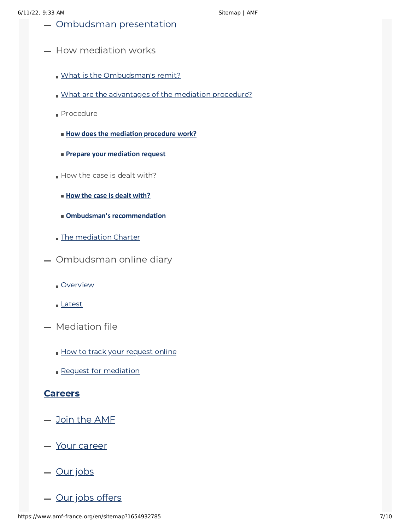- $-$  [Ombudsman](https://www.amf-france.org/en/amf-ombudsman/ombudsman-presentation) presentation
- $-$  How mediation works
	- What is the [Ombudsman's](https://www.amf-france.org/en/what-ombudsmans-remit) remit?
	- What are the [advantages](https://www.amf-france.org/en/amf-ombudsman/how-mediation-works/what-are-advantages-mediation-procedure) of the mediation procedure?
	- Procedure
		- **How does the [mediation](https://www.amf-france.org/en/how-does-mediation-procedure-work) procedure work?**
		- **Prepare your [mediation](https://www.amf-france.org/en/amf-ombudsman/how-mediation-works/procedure/prepare-your-mediation-request) request**
	- How the case is dealt with?
		- **How the case is dealt [with?](https://www.amf-france.org/en/amf-ombudsman/how-mediation-works/how-case-dealt/how-case-dealt)**
		- **Ombudsman's [recommendation](https://www.amf-france.org/en/amf-ombudsman/how-mediation-works/how-case-dealt/ombudsmans-recommendation)**
	- **The [mediation](https://www.amf-france.org/en/amf-ombudsman/how-mediation-works/mediation-charter) Charter**
- Ombudsman online diary
	- **[Overview](https://www.amf-france.org/en/amf-ombudsman/ombudsman-online-diary/overview)**
	- [Latest](https://www.amf-france.org/en/amf-ombudsman/ombudsman-online-diary/latest)
- Mediation file
	- How to track your [request](https://www.amf-france.org/en/amf-ombudsman/mediation-file/how-track-your-request-online) online
	- **Request for [mediation](https://www.amf-france.org/en/amf-ombudsman/mediation-file/request-mediation)**

#### **[Careers](https://www.amf-france.org/en/careers)**

- Join the AME
- Your [career](https://www.amf-france.org/en/careers/your-career)
- $-\underline{Our jobs}$  $-\underline{Our jobs}$  $-\underline{Our jobs}$
- Our jobs [offers](https://www.amf-france.org/en/careers/our-job-offers)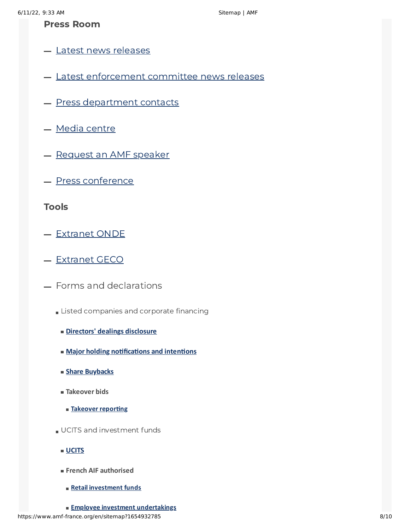### Press Room

- **Latest news [releases](https://www.amf-france.org/en/press-room)**
- **Latest [enforcement](https://www.amf-france.org/en/press-room/latest-enforcement-committee-news-releases) committee news releases**
- Press [department](https://www.amf-france.org/en/press-room/press-department-contacts) contacts
- Media [centre](https://www.amf-france.org/en/press-room/media-centre)
- [Request](https://www.amf-france.org/en/press-room/request-amf-speaker) an AMF speaker
- Press [conference](https://www.amf-france.org/en/press-room/press-conference)

#### Tools

- [Extranet](https://onde.amf-france.org/RemiseInformationEmetteur/Client/PTRemiseInformationEmetteur.aspx) ONDE
- [Extranet](https://geco2.amf-france.org/ExtranetBio/?lang=en) GECO
- Forms and declarations
	- **Listed companies and corporate financing** 
		- **Directors' dealings [disclosure](https://www.amf-france.org/en/forms-and-declarations/listed-companies-and-corporate-financing/directors-dealings-disclosure)**
		- **Major holding [notifications](https://www.amf-france.org/en/forms-and-declarations/listed-companies-and-corporate-financing) and intentions**
		- **Share [Buybacks](https://www.amf-france.org/en/forms-and-declarations/listed-companies-and-corporate-financing/share-buybacks)**
		- **Takeover bids**
			- **Takeover [reporting](https://www.amf-france.org/en/forms-and-declarations/listed-companies-and-corporate-financing/takeover-bids/takeover-reporting)**
	- UCITS and investment funds
		- **[UCITS](https://www.amf-france.org/en/forms-and-declarations/ucits-investment-funds/ucits)**
		- **French AIF authorised**
			- **Retail [investment](https://www.amf-france.org/en/forms-and-declarations/ucits-investment-funds/french-aif-authorised/retail-investment-funds) funds**
	- **Employee investment [undertakings](https://www.amf-france.org/en/forms-and-declarations/ucits-investment-funds/french-aif-authorised/employee-investment-undertakings)**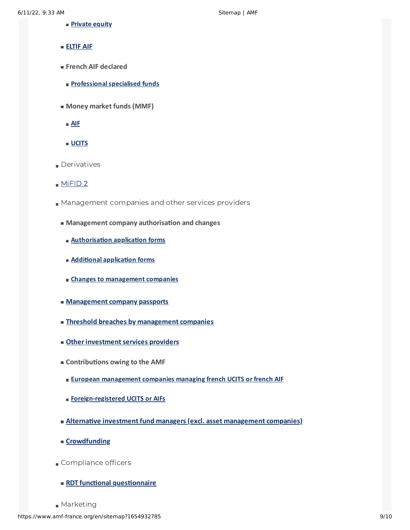- **[Private](https://www.amf-france.org/en/forms-and-declarations/ucits-investment-funds/french-aif-authorised/private-equity) equity**
- **[ELTIF](https://www.amf-france.org/en/forms-and-declarations/ucits-investment-funds/eltif-aif) AIF**
- **French AIF declared**
	- **[Professionalspecialised](https://www.amf-france.org/en/forms-and-declarations/ucits-investment-funds/french-aif-declared/professional-specialised-funds) funds**
- **Money market funds (MMF)**
- **[AIF](https://www.amf-france.org/en/forms-and-declarations/ucits-investment-funds/money-market-funds-mmf/aif)**
- **[UCITS](https://www.amf-france.org/en/forms-and-declarations/ucits-investment-funds/money-market-funds-mmf/ucits)**
- **Derivatives**
- $MFD<sub>2</sub>$
- **Management companies and other services providers** 
	- **Management company authorisation and changes**
		- **[Authorisation](https://www.amf-france.org/en/forms-and-declarations/management-companies-and-other-services-providers/management-company-authorisation-changes/authorisation-application-forms) application forms**
		- **Additional [application](https://www.amf-france.org/en/forms-and-declarations/management-companies-and-other-services-providers/management-company-authorisation-changes/additional-application-forms) forms**
		- **Changes to [management](https://www.amf-france.org/en/forms-and-declarations/management-companies-and-other-services-providers/management-company-authorisation-changes/changes-management-companies) companies**
	- **[Management](https://www.amf-france.org/en/forms-and-declarations/management-companies-and-other-services-providers/management-company-passports) company passports**
	- **Threshold breaches by [management](https://www.amf-france.org/en/forms-and-declarations/management-companies-and-other-services-providers/threshold-breaches-management-companies) companies**
	- $\blacksquare$  **Other investment services providers**
	- **Contributions owing to the AMF**
		- **European [management](https://www.amf-france.org/en/forms-and-declarations/management-companies-and-other-services-providers/contributions-owing-amf/european-management-companies-managing-french-ucits-or-french-aif) companies managing french UCITS or french AIF**
		- **[Foreign-registered](https://www.amf-france.org/en/forms-and-declarations/management-companies-and-other-services-providers/contributions-owing-amf/foreign-registered-ucits-or-aifs) UCITS or AIFs**
	- **Alternative investment fund managers (excl. asset [management](https://www.amf-france.org/en/forms-and-declarations/management-companies-and-other-services-providers/alternative-investment-fund-managers-excl-asset-management-companies) companies)**
	- **[Crowdfunding](https://www.amf-france.org/en/forms-and-declarations/management-companies-and-other-services-providers/crowdfunding)**
- Compliance officers
	- **RDT functional [questionnaire](https://www.amf-france.org/en/forms-and-declarations/compliance-officers/rdt-functional-questionnaire)**
- Marketing